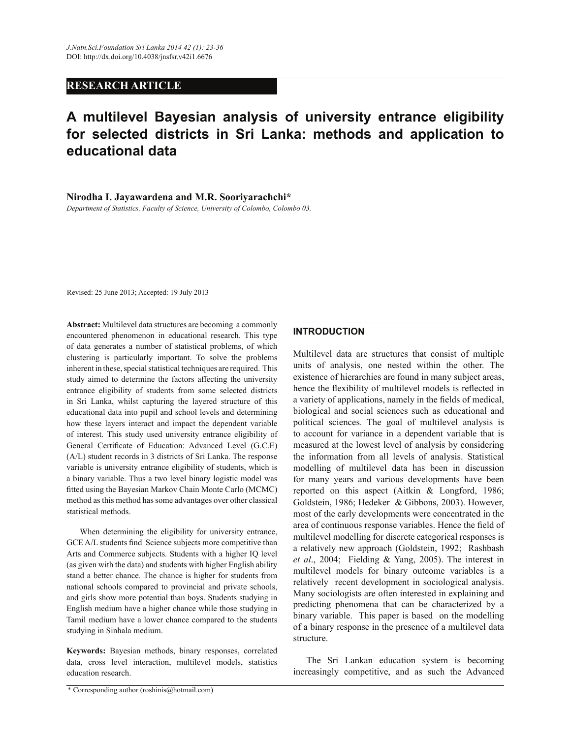# **RESEARCH ARTICLE**

# **A multilevel Bayesian analysis of university entrance eligibility for selected districts in Sri Lanka: methods and application to educational data**

**Nirodha I. Jayawardena and M.R. Sooriyarachchi\***

*Department of Statistics, Faculty of Science, University of Colombo, Colombo 03.*

Revised: 25 June 2013; Accepted: 19 July 2013

**Abstract:** Multilevel data structures are becoming a commonly encountered phenomenon in educational research. This type of data generates a number of statistical problems, of which clustering is particularly important. To solve the problems inherent in these, special statistical techniques are required. This study aimed to determine the factors affecting the university entrance eligibility of students from some selected districts in Sri Lanka, whilst capturing the layered structure of this educational data into pupil and school levels and determining how these layers interact and impact the dependent variable of interest. This study used university entrance eligibility of General Certificate of Education: Advanced Level (G.C.E) (A/L) student records in 3 districts of Sri Lanka. The response variable is university entrance eligibility of students, which is a binary variable. Thus a two level binary logistic model was fitted using the Bayesian Markov Chain Monte Carlo (MCMC) method as this method has some advantages over other classical statistical methods.

 When determining the eligibility for university entrance, GCE A/L students find Science subjects more competitive than Arts and Commerce subjects. Students with a higher IQ level (as given with the data) and students with higher English ability stand a better chance. The chance is higher for students from national schools compared to provincial and private schools, and girls show more potential than boys. Students studying in English medium have a higher chance while those studying in Tamil medium have a lower chance compared to the students studying in Sinhala medium.

**Keywords:** Bayesian methods, binary responses, correlated data, cross level interaction, multilevel models, statistics education research.

## **INTRODUCTION**

Multilevel data are structures that consist of multiple units of analysis, one nested within the other. The existence of hierarchies are found in many subject areas, hence the flexibility of multilevel models is reflected in a variety of applications, namely in the fields of medical, biological and social sciences such as educational and political sciences. The goal of multilevel analysis is to account for variance in a dependent variable that is measured at the lowest level of analysis by considering the information from all levels of analysis. Statistical modelling of multilevel data has been in discussion for many years and various developments have been reported on this aspect (Aitkin & Longford, 1986; Goldstein, 1986; Hedeker & Gibbons, 2003). However, most of the early developments were concentrated in the area of continuous response variables. Hence the field of multilevel modelling for discrete categorical responses is a relatively new approach (Goldstein, 1992; Rashbash *et al*., 2004; Fielding & Yang, 2005). The interest in multilevel models for binary outcome variables is a relatively recent development in sociological analysis. Many sociologists are often interested in explaining and predicting phenomena that can be characterized by a binary variable. This paper is based on the modelling of a binary response in the presence of a multilevel data structure.

The Sri Lankan education system is becoming increasingly competitive, and as such the Advanced

<sup>\*</sup> Corresponding author (roshinis@hotmail.com)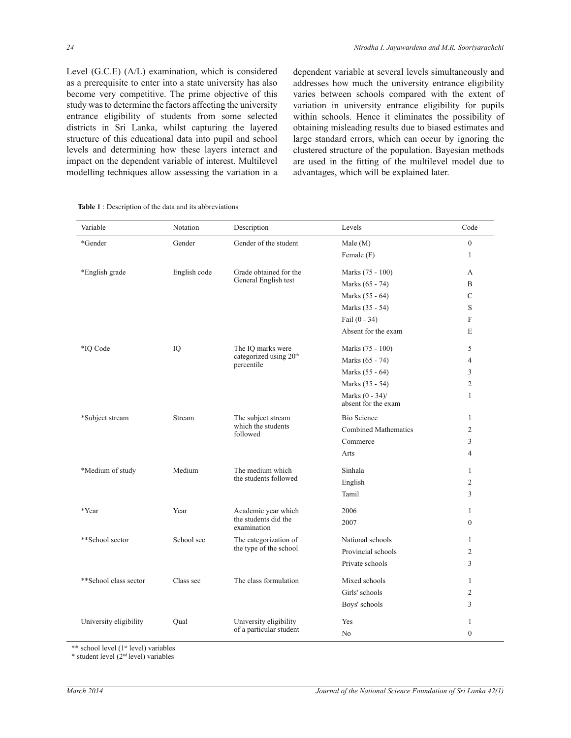Level (G.C.E) (A/L) examination, which is considered as a prerequisite to enter into a state university has also become very competitive. The prime objective of this study was to determine the factors affecting the university entrance eligibility of students from some selected districts in Sri Lanka, whilst capturing the layered structure of this educational data into pupil and school levels and determining how these layers interact and impact on the dependent variable of interest. Multilevel modelling techniques allow assessing the variation in a dependent variable at several levels simultaneously and addresses how much the university entrance eligibility varies between schools compared with the extent of variation in university entrance eligibility for pupils within schools. Hence it eliminates the possibility of obtaining misleading results due to biased estimates and large standard errors, which can occur by ignoring the clustered structure of the population. Bayesian methods are used in the fitting of the multilevel model due to advantages, which will be explained later.

| Variable               | Notation     | Description                                      | Levels                                    | Code             |
|------------------------|--------------|--------------------------------------------------|-------------------------------------------|------------------|
| *Gender                | Gender       | Gender of the student                            | Male(M)                                   | $\boldsymbol{0}$ |
|                        |              |                                                  | Female (F)                                | $\mathbf{1}$     |
| *English grade         | English code | Grade obtained for the                           | Marks (75 - 100)                          | A                |
|                        |              | General English test                             | Marks (65 - 74)                           | B                |
|                        |              |                                                  | Marks (55 - 64)                           | $\mathcal{C}$    |
|                        |              |                                                  | Marks (35 - 54)                           | S                |
|                        |              |                                                  | Fail $(0 - 34)$                           | $\mathbf{F}$     |
|                        |              |                                                  | Absent for the exam                       | E                |
| *IO Code               | IQ           | The IQ marks were                                | Marks (75 - 100)                          | 5                |
|                        |              | categorized using 20 <sup>th</sup><br>percentile | Marks (65 - 74)                           | 4                |
|                        |              |                                                  | Marks (55 - 64)                           | 3                |
|                        |              |                                                  | Marks (35 - 54)                           | 2                |
|                        |              |                                                  | Marks $(0 - 34)$ /<br>absent for the exam | $\mathbf{1}$     |
| *Subject stream        | Stream       | The subject stream                               | <b>Bio Science</b>                        | $\mathbf{1}$     |
|                        |              | which the students<br>followed                   | <b>Combined Mathematics</b>               | 2                |
|                        |              |                                                  | Commerce                                  | 3                |
|                        |              |                                                  | Arts                                      | 4                |
| *Medium of study       | Medium       | The medium which                                 | Sinhala                                   | 1                |
|                        |              | the students followed                            | English                                   | $\overline{c}$   |
|                        |              |                                                  | Tamil                                     | 3                |
| *Year                  | Year         | Academic year which                              | 2006                                      | 1                |
|                        |              | the students did the<br>examination              | 2007                                      | $\mathbf{0}$     |
| **School sector        | School sec   | The categorization of                            | National schools                          | 1                |
|                        |              | the type of the school                           | Provincial schools                        | 2                |
|                        |              |                                                  | Private schools                           | 3                |
| **School class sector  | Class sec    | The class formulation                            | Mixed schools                             | $\mathbf{1}$     |
|                        |              |                                                  | Girls' schools                            | $\overline{c}$   |
|                        |              |                                                  | Boys' schools                             | 3                |
| University eligibility | Qual         | University eligibility                           | Yes                                       | 1                |
|                        |              | of a particular student                          | N <sub>0</sub>                            | $\mathbf{0}$     |

**Table 1** : Description of the data and its abbreviations

\*\* school level (1<sup>st</sup> level) variables

 $*$  student level  $(2<sup>nd</sup> level)$  variables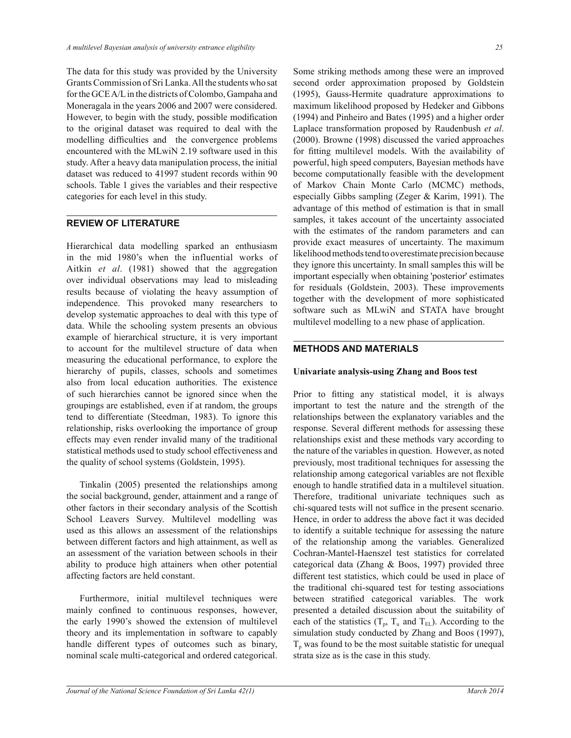The data for this study was provided by the University Grants Commission of Sri Lanka. All the students who sat for the GCE A/L in the districts of Colombo, Gampaha and Moneragala in the years 2006 and 2007 were considered. However, to begin with the study, possible modification to the original dataset was required to deal with the modelling difficulties and the convergence problems encountered with the MLwiN 2.19 software used in this study. After a heavy data manipulation process, the initial dataset was reduced to 41997 student records within 90 schools. Table 1 gives the variables and their respective categories for each level in this study.

## **REVIEW OF LITERATURE**

Hierarchical data modelling sparked an enthusiasm in the mid 1980's when the influential works of Aitkin *et al*. (1981) showed that the aggregation over individual observations may lead to misleading results because of violating the heavy assumption of independence. This provoked many researchers to develop systematic approaches to deal with this type of data. While the schooling system presents an obvious example of hierarchical structure, it is very important to account for the multilevel structure of data when measuring the educational performance, to explore the hierarchy of pupils, classes, schools and sometimes also from local education authorities. The existence of such hierarchies cannot be ignored since when the groupings are established, even if at random, the groups tend to differentiate (Steedman, 1983). To ignore this relationship, risks overlooking the importance of group effects may even render invalid many of the traditional statistical methods used to study school effectiveness and the quality of school systems (Goldstein, 1995).

 Tinkalin (2005) presented the relationships among the social background, gender, attainment and a range of other factors in their secondary analysis of the Scottish School Leavers Survey. Multilevel modelling was used as this allows an assessment of the relationships between different factors and high attainment, as well as an assessment of the variation between schools in their ability to produce high attainers when other potential affecting factors are held constant.

 Furthermore, initial multilevel techniques were mainly confined to continuous responses, however, the early 1990's showed the extension of multilevel theory and its implementation in software to capably handle different types of outcomes such as binary, nominal scale multi-categorical and ordered categorical.

Some striking methods among these were an improved second order approximation proposed by Goldstein (1995), Gauss-Hermite quadrature approximations to maximum likelihood proposed by Hedeker and Gibbons (1994) and Pinheiro and Bates (1995) and a higher order Laplace transformation proposed by Raudenbush *et al*. (2000). Browne (1998) discussed the varied approaches for fitting multilevel models. With the availability of powerful, high speed computers, Bayesian methods have become computationally feasible with the development of Markov Chain Monte Carlo (MCMC) methods, especially Gibbs sampling (Zeger & Karim, 1991). The advantage of this method of estimation is that in small samples, it takes account of the uncertainty associated with the estimates of the random parameters and can provide exact measures of uncertainty. The maximum likelihood methods tend to overestimate precision because they ignore this uncertainty. In small samples this will be important especially when obtaining 'posterior' estimates for residuals (Goldstein, 2003). These improvements together with the development of more sophisticated software such as MLwiN and STATA have brought multilevel modelling to a new phase of application.

## **METHODS AND MATERIALS**

#### **Univariate analysis-using Zhang and Boos test**

Prior to fitting any statistical model, it is always important to test the nature and the strength of the relationships between the explanatory variables and the response. Several different methods for assessing these relationships exist and these methods vary according to the nature of the variables in question. However, as noted previously, most traditional techniques for assessing the relationship among categorical variables are not flexible enough to handle stratified data in a multilevel situation. Therefore, traditional univariate techniques such as chi-squared tests will not suffice in the present scenario. Hence, in order to address the above fact it was decided to identify a suitable technique for assessing the nature of the relationship among the variables. Generalized Cochran-Mantel-Haenszel test statistics for correlated categorical data (Zhang & Boos, 1997) provided three different test statistics, which could be used in place of the traditional chi-squared test for testing associations between stratified categorical variables. The work presented a detailed discussion about the suitability of each of the statistics  $(T_p, T_u$  and  $T_{EL}$ ). According to the simulation study conducted by Zhang and Boos (1997),  $T_p$  was found to be the most suitable statistic for unequal strata size as is the case in this study.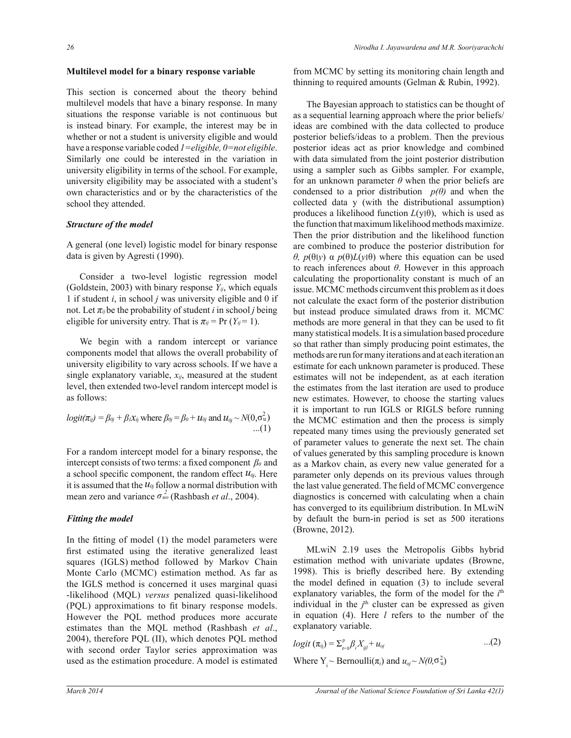#### **Multilevel model for a binary response variable**

This section is concerned about the theory behind multilevel models that have a binary response. In many situations the response variable is not continuous but is instead binary. For example, the interest may be in whether or not a student is university eligible and would have a response variable coded *1=eligible, 0=not eligible*. Similarly one could be interested in the variation in university eligibility in terms of the school. For example, university eligibility may be associated with a student's own characteristics and or by the characteristics of the school they attended.

## *Structure of the model*

A general (one level) logistic model for binary response data is given by Agresti (1990).

 Consider a two-level logistic regression model (Goldstein, 2003) with binary response  $Y_{ij}$ , which equals 1 if student *i*, in school *j* was university eligible and 0 if not. Let  $\pi_{ij}$  be the probability of student *i* in school *j* being eligible for university entry. That is  $\pi_{ij}$  = Pr (*Y<sub>ij</sub>* = 1).

 We begin with a random intercept or variance components model that allows the overall probability of university eligibility to vary across schools. If we have a single explanatory variable, *xij*, measured at the student level, then extended two-level random intercept model is as follows:

$$
logit(\pi_{ij}) = \beta_{0j} + \beta_i \chi_{ij}
$$
 where  $\beta_{0j} = \beta_0 + u_{0j}$  and  $u_{0j} \sim N(0, \sigma_u^2)$  ...(1)

For a random intercept model for a binary response, the intercept consists of two terms: a fixed component  $\beta_0$  and a school specific component, the random effect  $u_{0i}$ . Here it is assumed that the  $u_{0j}$  follow a normal distribution with mean zero and variance  $\sigma_{uo}^2$  (Rashbash *et al.*, 2004).

#### *Fitting the model*

In the fitting of model (1) the model parameters were first estimated using the iterative generalized least squares (IGLS) method followed by Markov Chain Monte Carlo (MCMC) estimation method. As far as the IGLS method is concerned it uses marginal quasi -likelihood (MQL) *versus* penalized quasi-likelihood (PQL) approximations to fit binary response models. However the PQL method produces more accurate estimates than the MQL method (Rashbash *et al*., 2004), therefore PQL (II), which denotes PQL method with second order Taylor series approximation was used as the estimation procedure. A model is estimated

from MCMC by setting its monitoring chain length and thinning to required amounts (Gelman & Rubin, 1992).

 The Bayesian approach to statistics can be thought of as a sequential learning approach where the prior beliefs/ ideas are combined with the data collected to produce posterior beliefs/ideas to a problem. Then the previous posterior ideas act as prior knowledge and combined with data simulated from the joint posterior distribution using a sampler such as Gibbs sampler. For example, for an unknown parameter  $\theta$  when the prior beliefs are condensed to a prior distribution  $p(\theta)$  and when the collected data y (with the distributional assumption) produces a likelihood function  $L(y|\theta)$ , which is used as the function that maximum likelihood methods maximize. Then the prior distribution and the likelihood function are combined to produce the posterior distribution for *θ, p*( $θ$ l*y*) α *p*( $θ$ )*L*(*y*l $θ$ ) where this equation can be used to reach inferences about *θ*. However in this approach calculating the proportionality constant is much of an issue. MCMC methods circumvent this problem as it does not calculate the exact form of the posterior distribution but instead produce simulated draws from it. MCMC methods are more general in that they can be used to fit many statistical models. It is a simulation based procedure so that rather than simply producing point estimates, the methods are run for many iterations and at each iteration an estimate for each unknown parameter is produced. These estimates will not be independent, as at each iteration the estimates from the last iteration are used to produce new estimates. However, to choose the starting values it is important to run IGLS or RIGLS before running the MCMC estimation and then the process is simply repeated many times using the previously generated set of parameter values to generate the next set. The chain of values generated by this sampling procedure is known as a Markov chain, as every new value generated for a parameter only depends on its previous values through the last value generated. The field of MCMC convergence diagnostics is concerned with calculating when a chain has converged to its equilibrium distribution. In MLwiN by default the burn-in period is set as 500 iterations (Browne, 2012).

 MLwiN 2.19 uses the Metropolis Gibbs hybrid estimation method with univariate updates (Browne, 1998). This is briefly described here. By extending the model defined in equation (3) to include several explanatory variables, the form of the model for the *i*<sup>th</sup> individual in the  $j<sup>th</sup>$  cluster can be expressed as given in equation (4). Here *l* refers to the number of the explanatory variable.

$$
logit (\pi_{ij}) = \sum_{i=0}^{p} \beta_i X_{ij} + u_{oj} \qquad \qquad ...(2)
$$

Where  $Y_i \sim \text{Bernoulli}(\pi_i)$  and  $u_{oj} \sim N(0, \sigma_u^2)$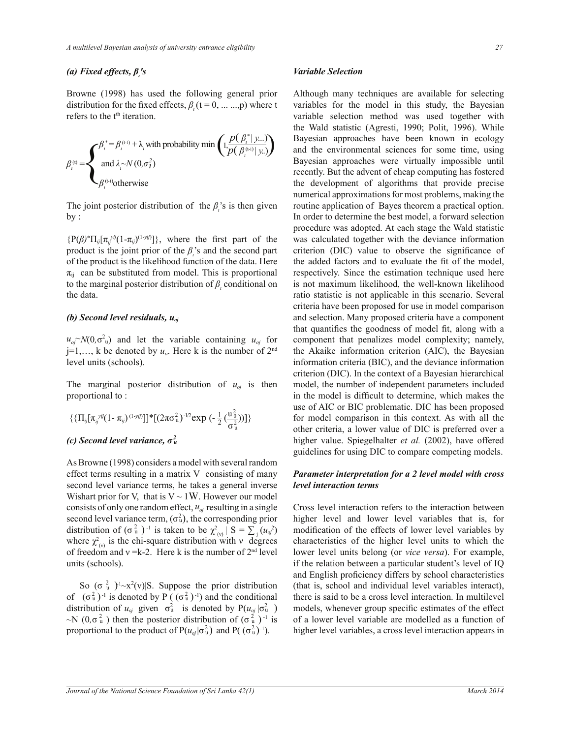# *(a) Fixed effects, β<sup>ι</sup> 's*

Browne (1998) has used the following general prior distribution for the fixed effects,  $\beta_i$  ( $i = 0, \dots, p$ ) where t refers to the t<sup>th</sup> iteration.

$$
\beta_i^{(t)} = \n\begin{cases}\n\beta_i^* = \beta_i^{(t-1)} + \lambda_i \text{ with probability min } \left( 1, \frac{p(\beta_i^* | y...)}{p(\beta_i^{(t-1)} | y..)} \right) \\
\text{ and } \lambda_i \sim N(0, \sigma_i^2) \\
\beta_i^{(t-1)} \text{otherwise}\n\end{cases}
$$

The joint posterior distribution of the  $\beta_i$ 's is then given  $by:$ 

 ${P(\beta)^* \Pi_{ij}[\pi_{ij}^{yij}(1-\pi_{ij})^{(1-yij)}]}$ , where the first part of the product is the joint prior of the  $\beta$ <sup>*'*</sup> and the second part of the product is the likelihood function of the data. Here  $\pi_{ii}$  can be substituted from model. This is proportional to the marginal posterior distribution of  $\beta$ <sup>*l*</sup>, conditional on the data.

#### *(b) Second level residuals, uoj*

 $u_{oj} \sim N(0, \sigma^2 u)$  and let the variable containing  $u_{oj}$  for  $j=1,\ldots, k$  be denoted by  $u<sub>o</sub>$ . Here k is the number of  $2<sup>nd</sup>$ level units (schools).

The marginal posterior distribution of  $u_{oj}$  is then proportional to :

$$
\{\{\Pi_{ij}[\pi_{ij}^{yij}(1-\pi_{ij})^{(1-yij)}]\}^*[(2\pi\sigma_u^2)^{-1/2}\exp(-\frac{1}{2}(\frac{u_0^2}{\sigma_u^2}))]\}
$$

# *(c) Second level variance, σ<sup>2</sup> u*

As Browne (1998) considers a model with several random effect terms resulting in a matrix V consisting of many second level variance terms, he takes a general inverse Wishart prior for V, that is  $V \sim 1W$ . However our model consists of only one random effect, *uoj* resulting in a single second level variance term,  $(\sigma_u^2)$ , the corresponding prior distribution of  $(\sigma_u^2)^{-1}$  is taken to be  $\chi_{(v)}^2 | S = \sum_j (u_{oj}^2)^{-1}$ where  $\chi^2_{(v)}$  is the chi-square distribution with v degrees of freedom and  $v = k-2$ . Here k is the number of  $2<sup>nd</sup>$  level units (schools).

So  $(\sigma_u^2)^{1} \sim x^2(v)$  S. Suppose the prior distribution of  $(\sigma_u^2)^{-1}$  is denoted by P ( $(\sigma_u^2)^{-1}$ ) and the conditional distribution of  $u_{oj}$  given  $\sigma_u^2$  is denoted by  $P(u_{oj} | \sigma_u^2)$  $\sim$ N (0, $\sigma_u^2$ ) then the posterior distribution of ( $\sigma_u^2$ )<sup>-1</sup> is proportional to the product of  $P(u_{\sigma j} | \sigma_u^2)$  and  $P((\sigma_u^2)^{-1})$ .

#### *Variable Selection*

Although many techniques are available for selecting variables for the model in this study, the Bayesian variable selection method was used together with the Wald statistic (Agresti, 1990; Polit, 1996). While Bayesian approaches have been known in ecology and the environmental sciences for some time, using Bayesian approaches were virtually impossible until recently. But the advent of cheap computing has fostered the development of algorithms that provide precise numerical approximations for most problems, making the routine application of Bayes theorem a practical option. In order to determine the best model, a forward selection procedure was adopted. At each stage the Wald statistic was calculated together with the deviance information criterion (DIC) value to observe the significance of the added factors and to evaluate the fit of the model, respectively. Since the estimation technique used here is not maximum likelihood, the well-known likelihood ratio statistic is not applicable in this scenario. Several criteria have been proposed for use in model comparison and selection. Many proposed criteria have a component that quantifies the goodness of model fit, along with a component that penalizes model complexity; namely, the Akaike information criterion (AIC), the Bayesian information criteria (BIC), and the deviance information criterion (DIC). In the context of a Bayesian hierarchical model, the number of independent parameters included in the model is difficult to determine, which makes the use of AIC or BIC problematic. DIC has been proposed for model comparison in this context. As with all the other criteria, a lower value of DIC is preferred over a higher value. Spiegelhalter *et al.* (2002), have offered guidelines for using DIC to compare competing models.

#### *Parameter interpretation for a 2 level model with cross level interaction terms*

Cross level interaction refers to the interaction between higher level and lower level variables that is, for modification of the effects of lower level variables by characteristics of the higher level units to which the lower level units belong (or *vice versa*). For example, if the relation between a particular student's level of IQ and English proficiency differs by school characteristics (that is, school and individual level variables interact), there is said to be a cross level interaction. In multilevel models, whenever group specific estimates of the effect of a lower level variable are modelled as a function of higher level variables, a cross level interaction appears in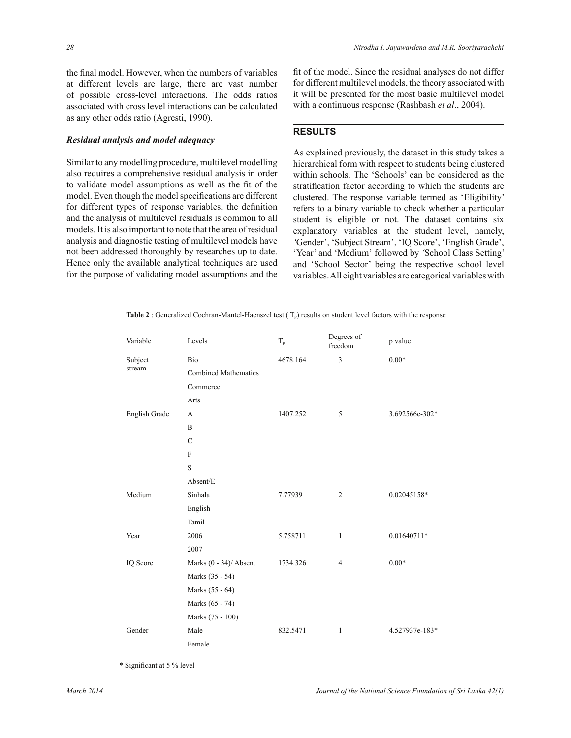the final model. However, when the numbers of variables at different levels are large, there are vast number of possible cross-level interactions. The odds ratios associated with cross level interactions can be calculated as any other odds ratio (Agresti, 1990).

#### *Residual analysis and model adequacy*

Similar to any modelling procedure, multilevel modelling also requires a comprehensive residual analysis in order to validate model assumptions as well as the fit of the model. Even though the model specifications are different for different types of response variables, the definition and the analysis of multilevel residuals is common to all models. It is also important to note that the area of residual analysis and diagnostic testing of multilevel models have not been addressed thoroughly by researches up to date. Hence only the available analytical techniques are used for the purpose of validating model assumptions and the fit of the model. Since the residual analyses do not differ for different multilevel models, the theory associated with it will be presented for the most basic multilevel model with a continuous response (Rashbash *et al*., 2004).

# **RESULTS**

As explained previously, the dataset in this study takes a hierarchical form with respect to students being clustered within schools. The 'Schools' can be considered as the stratification factor according to which the students are clustered. The response variable termed as 'Eligibility' refers to a binary variable to check whether a particular student is eligible or not. The dataset contains six explanatory variables at the student level, namely, *'*Gender', 'Subject Stream', 'IQ Score', 'English Grade', 'Year' and 'Medium' followed by *'*School Class Setting' and 'School Sector' being the respective school level variables. All eight variables are categorical variables with

| <b>Table 2</b> : Generalized Cochran-Mantel-Haenszel test $(T_p)$ results on student level factors with the response |
|----------------------------------------------------------------------------------------------------------------------|
|----------------------------------------------------------------------------------------------------------------------|

| Variable      | Levels                      | $T_{p}$  | Degrees of<br>freedom | p value        |  |  |  |
|---------------|-----------------------------|----------|-----------------------|----------------|--|--|--|
| Subject       | Bio                         | 4678.164 | $\mathfrak{Z}$        | $0.00*$        |  |  |  |
| stream        | <b>Combined Mathematics</b> |          |                       |                |  |  |  |
|               | Commerce                    |          |                       |                |  |  |  |
|               | Arts                        |          |                       |                |  |  |  |
| English Grade | A                           | 1407.252 | 5                     | 3.692566e-302* |  |  |  |
|               | B                           |          |                       |                |  |  |  |
|               | $\mathcal{C}$               |          |                       |                |  |  |  |
|               | $\mathbf{F}$                |          |                       |                |  |  |  |
|               | S                           |          |                       |                |  |  |  |
|               | Absent/E                    |          |                       |                |  |  |  |
| Medium        | Sinhala                     | 7.77939  | 2                     | 0.02045158*    |  |  |  |
|               | English                     |          |                       |                |  |  |  |
|               | Tamil                       |          |                       |                |  |  |  |
| Year          | 2006                        | 5.758711 | $\mathbf{1}$          | $0.01640711*$  |  |  |  |
|               | 2007                        |          |                       |                |  |  |  |
| IQ Score      | Marks (0 - 34)/ Absent      | 1734.326 | $\overline{4}$        | $0.00*$        |  |  |  |
|               | Marks (35 - 54)             |          |                       |                |  |  |  |
|               | Marks (55 - 64)             |          |                       |                |  |  |  |
|               | Marks (65 - 74)             |          |                       |                |  |  |  |
|               | Marks (75 - 100)            |          |                       |                |  |  |  |
| Gender        | Male                        | 832.5471 | 1                     | 4.527937e-183* |  |  |  |
|               | Female                      |          |                       |                |  |  |  |
|               |                             |          |                       |                |  |  |  |

\* Significant at 5 % level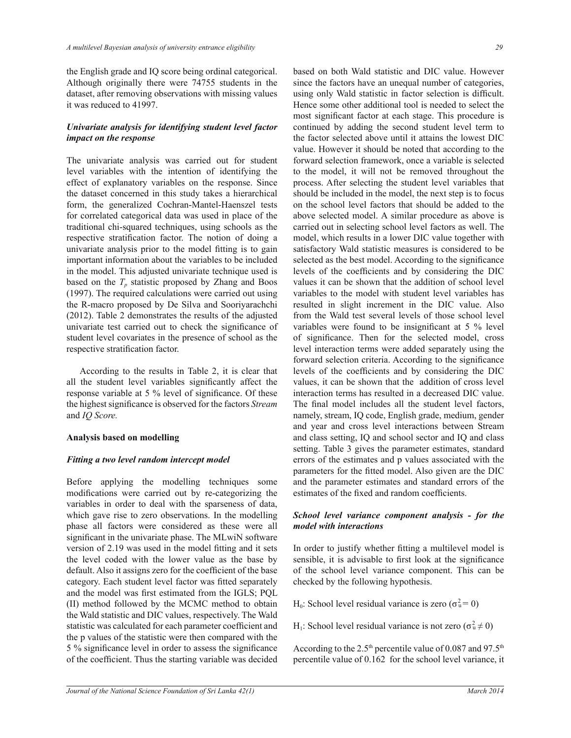the English grade and IQ score being ordinal categorical. Although originally there were 74755 students in the dataset, after removing observations with missing values it was reduced to 41997.

## *Univariate analysis for identifying student level factor impact on the response*

The univariate analysis was carried out for student level variables with the intention of identifying the effect of explanatory variables on the response. Since the dataset concerned in this study takes a hierarchical form, the generalized Cochran-Mantel-Haenszel tests for correlated categorical data was used in place of the traditional chi-squared techniques, using schools as the respective stratification factor. The notion of doing a univariate analysis prior to the model fitting is to gain important information about the variables to be included in the model. This adjusted univariate technique used is based on the  $T_p$  statistic proposed by Zhang and Boos (1997). The required calculations were carried out using the R-macro proposed by De Silva and Sooriyarachchi (2012). Table 2 demonstrates the results of the adjusted univariate test carried out to check the significance of student level covariates in the presence of school as the respective stratification factor.

 According to the results in Table 2, it is clear that all the student level variables significantly affect the response variable at 5 % level of significance. Of these the highest significance is observed for the factors *Stream* and *IQ Score.*

## **Analysis based on modelling**

## *Fitting a two level random intercept model*

Before applying the modelling techniques some modifications were carried out by re-categorizing the variables in order to deal with the sparseness of data, which gave rise to zero observations. In the modelling phase all factors were considered as these were all significant in the univariate phase. The MLwiN software version of 2.19 was used in the model fitting and it sets the level coded with the lower value as the base by default. Also it assigns zero for the coefficient of the base category. Each student level factor was fitted separately and the model was first estimated from the IGLS; PQL (II) method followed by the MCMC method to obtain the Wald statistic and DIC values, respectively. The Wald statistic was calculated for each parameter coefficient and the p values of the statistic were then compared with the 5 % significance level in order to assess the significance of the coefficient. Thus the starting variable was decided

based on both Wald statistic and DIC value. However since the factors have an unequal number of categories, using only Wald statistic in factor selection is difficult. Hence some other additional tool is needed to select the most significant factor at each stage. This procedure is continued by adding the second student level term to the factor selected above until it attains the lowest DIC value. However it should be noted that according to the forward selection framework, once a variable is selected to the model, it will not be removed throughout the process. After selecting the student level variables that should be included in the model, the next step is to focus on the school level factors that should be added to the above selected model. A similar procedure as above is carried out in selecting school level factors as well. The model, which results in a lower DIC value together with satisfactory Wald statistic measures is considered to be selected as the best model. According to the significance levels of the coefficients and by considering the DIC values it can be shown that the addition of school level variables to the model with student level variables has resulted in slight increment in the DIC value. Also from the Wald test several levels of those school level variables were found to be insignificant at 5 % level of significance. Then for the selected model, cross level interaction terms were added separately using the forward selection criteria. According to the significance levels of the coefficients and by considering the DIC values, it can be shown that the addition of cross level interaction terms has resulted in a decreased DIC value. The final model includes all the student level factors, namely, stream, IQ code, English grade, medium, gender and year and cross level interactions between Stream and class setting, IQ and school sector and IQ and class setting. Table 3 gives the parameter estimates, standard errors of the estimates and p values associated with the parameters for the fitted model. Also given are the DIC and the parameter estimates and standard errors of the estimates of the fixed and random coefficients.

## *School level variance component analysis - for the model with interactions*

In order to justify whether fitting a multilevel model is sensible, it is advisable to first look at the significance of the school level variance component. This can be checked by the following hypothesis.

H<sub>0</sub>: School level residual variance is zero ( $\sigma_u^2 = 0$ )

H<sub>1</sub>: School level residual variance is not zero ( $\sigma_u^2 \neq 0$ )

According to the 2.5<sup>th</sup> percentile value of 0.087 and 97.5<sup>th</sup> percentile value of 0.162 for the school level variance, it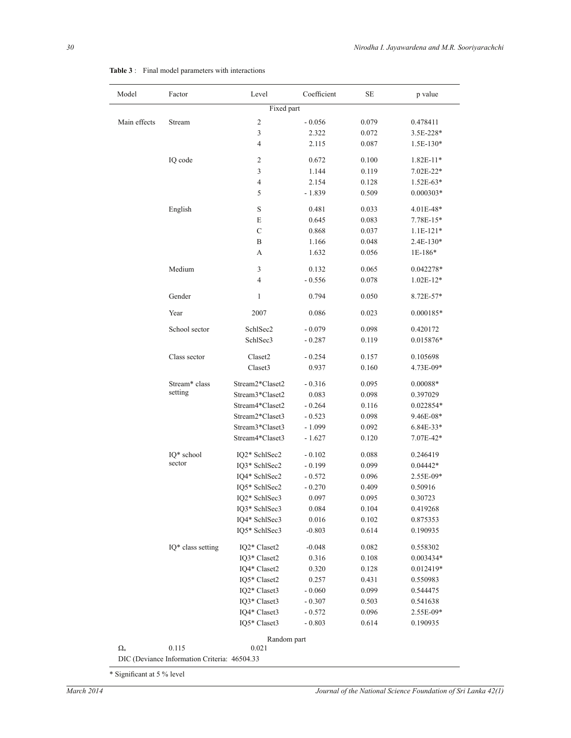| Model            | Factor            | Level            | Coefficient | SЕ    | p value       |
|------------------|-------------------|------------------|-------------|-------|---------------|
|                  |                   | Fixed part       |             |       |               |
| Main effects     | Stream            | $\sqrt{2}$       | $-0.056$    | 0.079 | 0.478411      |
|                  |                   | $\mathfrak{Z}$   | 2.322       | 0.072 | 3.5E-228*     |
|                  |                   | $\overline{4}$   | 2.115       | 0.087 | 1.5E-130*     |
|                  | IQ code           | $\boldsymbol{2}$ | 0.672       | 0.100 | 1.82E-11*     |
|                  |                   | 3                | 1.144       | 0.119 | $7.02E - 22*$ |
|                  |                   | $\overline{4}$   | 2.154       | 0.128 | $1.52E-63*$   |
|                  |                   | 5                | $-1.839$    | 0.509 | $0.000303*$   |
|                  | English           | $\mathbf S$      | 0.481       | 0.033 | 4.01E-48*     |
|                  |                   | E                | 0.645       | 0.083 | 7.78E-15*     |
|                  |                   | $\mathbf C$      | 0.868       | 0.037 | $1.1E-121*$   |
|                  |                   | $\, {\bf B}$     | 1.166       | 0.048 | 2.4E-130*     |
|                  |                   | А                | 1.632       | 0.056 | 1E-186*       |
|                  | Medium            | 3                | 0.132       | 0.065 | 0.042278*     |
|                  |                   | $\overline{4}$   | $-0.556$    | 0.078 | $1.02E-12*$   |
|                  | Gender            | 1                | 0.794       | 0.050 | 8.72E-57*     |
|                  | Year              | 2007             | 0.086       | 0.023 | $0.000185*$   |
|                  | School sector     | SchlSec2         | $-0.079$    | 0.098 | 0.420172      |
|                  |                   | SchlSec3         | $-0.287$    | 0.119 | 0.015876*     |
|                  | Class sector      | Claset2          | $-0.254$    | 0.157 | 0.105698      |
|                  |                   | Claset3          | 0.937       | 0.160 | 4.73E-09*     |
|                  | Stream* class     | Stream2*Claset2  | $-0.316$    | 0.095 | $0.00088*$    |
|                  | setting           | Stream3*Claset2  | 0.083       | 0.098 | 0.397029      |
|                  |                   | Stream4*Claset2  | $-0.264$    | 0.116 | 0.022854*     |
|                  |                   | Stream2*Claset3  | $-0.523$    | 0.098 | 9.46E-08*     |
|                  |                   | Stream3*Claset3  | $-1.099$    | 0.092 | $6.84E - 33*$ |
|                  |                   | Stream4*Claset3  | $-1.627$    | 0.120 | 7.07E-42*     |
|                  | IQ* school        | IQ2* SchlSec2    | $-0.102$    | 0.088 | 0.246419      |
|                  | sector            | IQ3* SchlSec2    | $-0.199$    | 0.099 | $0.04442*$    |
|                  |                   | IQ4* SchlSec2    | $-0.572$    | 0.096 | 2.55E-09*     |
|                  |                   | IQ5* SchlSec2    | $-0.270$    | 0.409 | 0.50916       |
|                  |                   | IQ2* SchlSec3    | 0.097       | 0.095 | 0.30723       |
|                  |                   | IQ3* SchlSec3    | 0.084       | 0.104 | 0.419268      |
|                  |                   | IQ4* SchlSec3    | 0.016       | 0.102 | 0.875353      |
|                  |                   | IQ5* SchlSec3    | $-0.803$    | 0.614 | 0.190935      |
|                  | IQ* class setting | IQ2* Claset2     | $-0.048$    | 0.082 | 0.558302      |
|                  |                   | IQ3* Claset2     | 0.316       | 0.108 | $0.003434*$   |
|                  |                   | IQ4* Claset2     | 0.320       | 0.128 | 0.012419*     |
|                  |                   | IQ5* Claset2     | 0.257       | 0.431 | 0.550983      |
|                  |                   | IQ2* Claset3     | $-0.060$    | 0.099 | 0.544475      |
|                  |                   | IQ3* Claset3     | $-0.307$    | 0.503 | 0.541638      |
|                  |                   | IQ4* Claset3     | $-0.572$    | 0.096 | 2.55E-09*     |
|                  |                   | IQ5* Claset3     | $-0.803$    | 0.614 | 0.190935      |
|                  |                   | Random part      |             |       |               |
| $\Omega_{\rm u}$ | 0.115             | 0.021            |             |       |               |

**Table 3** : Final model parameters with interactions

\* Significant at 5 % level

DIC (Deviance Information Criteria: 46504.33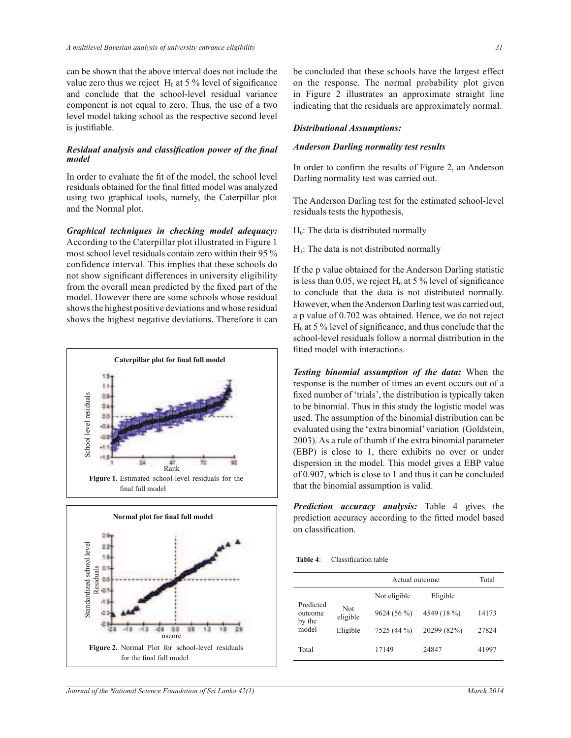can be shown that the above interval does not include the value zero thus we reject  $H_0$  at 5 % level of significance and conclude that the school-level residual variance component is not equal to zero. Thus, the use of a two level model taking school as the respective second level is justifiable.

#### *Residual analysis and classification power of the final model*

In order to evaluate the fit of the model, the school level residuals obtained for the final fitted model was analyzed using two graphical tools, namely, the Caterpillar plot and the Normal plot.

*Graphical techniques in checking model adequacy:* According to the Caterpillar plot illustrated in Figure 1 most school level residuals contain zero within their 95 % confidence interval. This implies that these schools do not show significant differences in university eligibility from the overall mean predicted by the fixed part of the model. However there are some schools whose residual shows the highest positive deviations and whose residual shows the highest negative deviations. Therefore it can





be concluded that these schools have the largest effect on the response. The normal probability plot given in Figure 2 illustrates an approximate straight line indicating that the residuals are approximately normal.

## *Distributional Assumptions:*

## *Anderson Darling normality test results*

In order to confirm the results of Figure 2, an Anderson Darling normality test was carried out.

The Anderson Darling test for the estimated school-level residuals tests the hypothesis,

 $H<sub>0</sub>$ : The data is distributed normally

 $H<sub>1</sub>$ : The data is not distributed normally

If the p value obtained for the Anderson Darling statistic is less than 0.05, we reject  $H_0$  at 5 % level of significance to conclude that the data is not distributed normally. However, when the Anderson Darling test was carried out, a p value of 0.702 was obtained. Hence, we do not reject  $H<sub>0</sub>$  at 5 % level of significance, and thus conclude that the school-level residuals follow a normal distribution in the fitted model with interactions.

*Testing binomial assumption of the data:* When the response is the number of times an event occurs out of a fixed number of 'trials', the distribution is typically taken to be binomial. Thus in this study the logistic model was used. The assumption of the binomial distribution can be evaluated using the 'extra binomial' variation (Goldstein, 2003). As a rule of thumb if the extra binomial parameter (EBP) is close to 1, there exhibits no over or under dispersion in the model. This model gives a EBP value of 0.907, which is close to 1 and thus it can be concluded that the binomial assumption is valid.

*Prediction accuracy analysis:* Table 4 gives the prediction accuracy according to the fitted model based on classification.

**Table 4**: Classification table

|                                         |                 | Actual outcome | Total       |       |
|-----------------------------------------|-----------------|----------------|-------------|-------|
| Predicted<br>outcome<br>by the<br>model |                 | Not eligible   | Eligible    |       |
|                                         | Not<br>eligible | 9624(56%)      | 4549 (18 %) | 14173 |
|                                         | Eligible        | 7525 (44 %)    | 20299 (82%) | 27824 |
| Total                                   |                 | 17149          | 24847       | 41997 |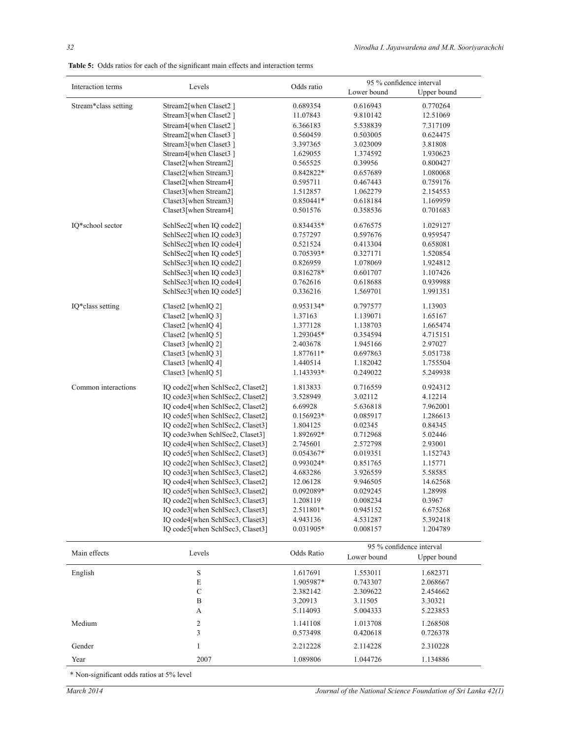|  | <b>Table 5:</b> Odds ratios for each of the significant main effects and interaction terms |  |  |  |  |  |  |  |  |
|--|--------------------------------------------------------------------------------------------|--|--|--|--|--|--|--|--|
|--|--------------------------------------------------------------------------------------------|--|--|--|--|--|--|--|--|

|                      | Levels                           |             | 95 % confidence interval |                          |  |
|----------------------|----------------------------------|-------------|--------------------------|--------------------------|--|
| Interaction terms    |                                  | Odds ratio  | Lower bound              | Upper bound              |  |
| Stream*class setting | Stream2[when Claset2]            | 0.689354    | 0.616943                 | 0.770264                 |  |
|                      | Stream3[when Claset2]            | 11.07843    | 9.810142                 | 12.51069                 |  |
|                      | Stream4[when Claset2]            | 6.366183    | 5.538839                 | 7.317109                 |  |
|                      | Stream2[when Claset3]            | 0.560459    | 0.503005                 | 0.624475                 |  |
|                      | Stream3[when Claset3]            | 3.397365    | 3.023009                 | 3.81808                  |  |
|                      | Stream4[when Claset3]            | 1.629055    | 1.374592                 | 1.930623                 |  |
|                      | Claset2[when Stream2]            | 0.565525    | 0.39956                  | 0.800427                 |  |
|                      | Claset2[when Stream3]            | 0.842822*   | 0.657689                 | 1.080068                 |  |
|                      | Claset2[when Stream4]            | 0.595711    | 0.467443                 | 0.759176                 |  |
|                      | Claset3[when Stream2]            | 1.512857    | 1.062279                 | 2.154553                 |  |
|                      | Claset3[when Stream3]            | 0.850441*   | 0.618184                 | 1.169959                 |  |
|                      | Claset3[when Stream4]            | 0.501576    | 0.358536                 | 0.701683                 |  |
| IQ*school sector     | SchlSec2[when IQ code2]          | 0.834435*   | 0.676575                 | 1.029127                 |  |
|                      | SchlSec2[when IQ code3]          | 0.757297    | 0.597676                 | 0.959547                 |  |
|                      | SchlSec2[when IQ code4]          | 0.521524    | 0.413304                 | 0.658081                 |  |
|                      | SchlSec2[when IQ code5]          | 0.705393*   | 0.327171                 | 1.520854                 |  |
|                      | SchlSec3[when IQ code2]          | 0.826959    | 1.078069                 | 1.924812                 |  |
|                      | SchlSec3[when IQ code3]          | 0.816278*   | 0.601707                 | 1.107426                 |  |
|                      | SchlSec3[when IQ code4]          | 0.762616    | 0.618688                 | 0.939988                 |  |
|                      | SchlSec3[when IQ code5]          | 0.336216    | 1.569701                 | 1.991351                 |  |
| IQ*class setting     | Claset2 [whenIQ 2]               | 0.953134*   | 0.797577                 | 1.13903                  |  |
|                      | Claset2 [whenIQ 3]               | 1.37163     | 1.139071                 | 1.65167                  |  |
|                      | Claset2 [whenIQ 4]               | 1.377128    | 1.138703                 | 1.665474                 |  |
|                      | Claset2 [whenIQ 5]               | 1.293045*   | 0.354594                 | 4.715151                 |  |
|                      | Claset3 [whenIQ 2]               | 2.403678    | 1.945166                 | 2.97027                  |  |
|                      | Claset3 [whenIQ 3]               | 1.877611*   | 0.697863                 | 5.051738                 |  |
|                      | Claset3 [whenIQ 4]               | 1.440514    | 1.182042                 | 1.755504                 |  |
|                      | Claset3 [whenIQ 5]               | 1.143393*   | 0.249022                 | 5.249938                 |  |
| Common interactions  | IQ code2[when SchlSec2, Claset2] | 1.813833    | 0.716559                 | 0.924312                 |  |
|                      | IQ code3[when SchlSec2, Claset2] | 3.528949    | 3.02112                  | 4.12214                  |  |
|                      | IQ code4[when SchlSec2, Claset2] | 6.69928     | 5.636818                 | 7.962001                 |  |
|                      | IQ code5[when SchlSec2, Claset2] | $0.156923*$ | 0.085917                 | 1.286613                 |  |
|                      | IQ code2[when SchlSec2, Claset3] | 1.804125    | 0.02345                  | 0.84345                  |  |
|                      | IQ code3when SchlSec2, Claset3]  | 1.892692*   | 0.712968                 | 5.02446                  |  |
|                      | IQ code4[when SchlSec2, Claset3] | 2.745601    | 2.572798                 | 2.93001                  |  |
|                      | IO code5[when SchlSec2, Claset3] | $0.054367*$ | 0.019351                 | 1.152743                 |  |
|                      | IQ code2[when SchlSec3, Claset2] | 0.993024*   | 0.851765                 | 1.15771                  |  |
|                      | IQ code3[when SchlSec3, Claset2] | 4.683286    | 3.926559                 | 5.58585                  |  |
|                      | IQ code4[when SchlSec3, Claset2] | 12.06128    | 9.946505                 | 14.62568                 |  |
|                      | IQ code5[when SchlSec3, Claset2] | $0.092089*$ | 0.029245                 | 1.28998                  |  |
|                      | IQ code2[when SchlSec3, Claset3] | 1.208119    | 0.008234                 | 0.3967                   |  |
|                      | IQ code3[when SchlSec3, Claset3] | 2.511801*   | 0.945152                 | 6.675268                 |  |
|                      | IQ code4[when SchlSec3, Claset3] | 4.943136    | 4.531287                 | 5.392418                 |  |
|                      | IQ code5[when SchlSec3, Claset3] | 0.031905*   | 0.008157                 | 1.204789                 |  |
|                      |                                  |             |                          | 95 % confidence interval |  |
| Main effects         | Levels                           | Odds Ratio  | Lower bound              | Upper bound              |  |
| English              | $\mathbf S$                      | 1.617691    | 1.553011                 | 1.682371                 |  |
|                      | $\mathbf E$                      | 1.905987*   | 0.743307                 | 2.068667                 |  |
|                      | $\mathbf C$                      | 2.382142    | 2.309622                 | 2.454662                 |  |
|                      | B                                | 3.20913     | 3.11505                  | 3.30321                  |  |
|                      | A                                | 5.114093    | 5.004333                 | 5.223853                 |  |
| Medium               | $\overline{c}$                   | 1.141108    | 1.013708                 | 1.268508                 |  |
|                      | 3                                | 0.573498    | 0.420618                 | 0.726378                 |  |
| Gender               | $\mathbf{1}$                     | 2.212228    | 2.114228                 | 2.310228                 |  |
| Year                 | 2007                             | 1.089806    | 1.044726                 | 1.134886                 |  |

\* Non-significant odds ratios at 5% level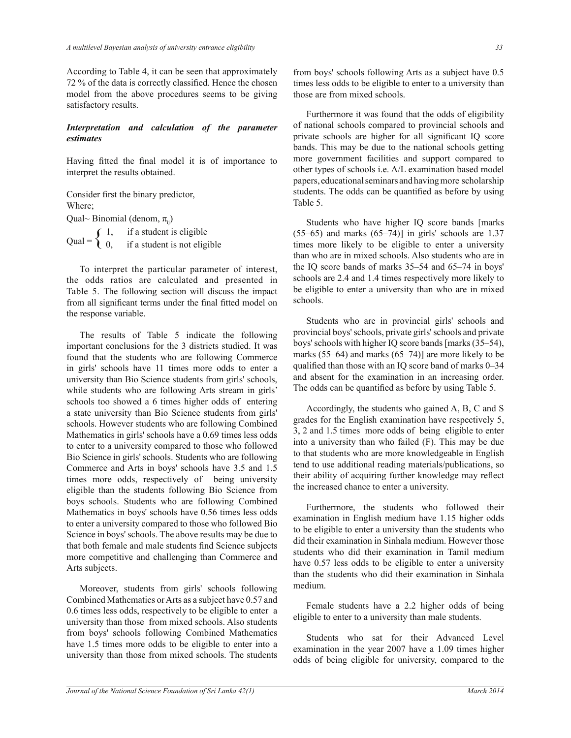According to Table 4, it can be seen that approximately 72 % of the data is correctly classified. Hence the chosen model from the above procedures seems to be giving satisfactory results.

## Interpretation and calculation of the parameter *estimates*

Having fitted the final model it is of importance to interpret the results obtained.

Consider first the binary predictor, Where; Qual~ Binomial (denom,  $\pi$ <sub>ii</sub>) Qual =  $\begin{cases} 1, & \text{if a student is eligible} \\ 0, & \text{if a student is not eligible} \end{cases}$ 

 To interpret the particular parameter of interest, the odds ratios are calculated and presented in Table 5. The following section will discuss the impact from all significant terms under the final fitted model on the response variable.

 The results of Table 5 indicate the following important conclusions for the 3 districts studied. It was found that the students who are following Commerce in girls' schools have 11 times more odds to enter a university than Bio Science students from girls' schools, while students who are following Arts stream in girls' schools too showed a 6 times higher odds of entering a state university than Bio Science students from girls' schools. However students who are following Combined Mathematics in girls' schools have a 0.69 times less odds to enter to a university compared to those who followed Bio Science in girls' schools. Students who are following Commerce and Arts in boys' schools have 3.5 and 1.5 times more odds, respectively of being university eligible than the students following Bio Science from boys schools. Students who are following Combined Mathematics in boys' schools have 0.56 times less odds to enter a university compared to those who followed Bio Science in boys' schools. The above results may be due to that both female and male students find Science subjects more competitive and challenging than Commerce and Arts subjects.

 Moreover, students from girls' schools following Combined Mathematics or Arts as a subject have 0.57 and 0.6 times less odds, respectively to be eligible to enter a university than those from mixed schools. Also students from boys' schools following Combined Mathematics have 1.5 times more odds to be eligible to enter into a university than those from mixed schools. The students

from boys' schools following Arts as a subject have 0.5 times less odds to be eligible to enter to a university than those are from mixed schools.

 Furthermore it was found that the odds of eligibility of national schools compared to provincial schools and private schools are higher for all significant IQ score bands. This may be due to the national schools getting more government facilities and support compared to other types of schools i.e. A/L examination based model papers, educational seminars and having more scholarship students. The odds can be quantified as before by using Table 5.

 Students who have higher IQ score bands [marks  $(55–65)$  and marks  $(65–74)$ ] in girls' schools are 1.37 times more likely to be eligible to enter a university than who are in mixed schools. Also students who are in the IQ score bands of marks 35–54 and 65–74 in boys' schools are 2.4 and 1.4 times respectively more likely to be eligible to enter a university than who are in mixed schools.

 Students who are in provincial girls' schools and provincial boys' schools, private girls' schools and private boys' schools with higher IQ score bands [marks (35–54), marks (55–64) and marks (65–74)] are more likely to be qualified than those with an IQ score band of marks 0–34 and absent for the examination in an increasing order. The odds can be quantified as before by using Table 5.

 Accordingly, the students who gained A, B, C and S grades for the English examination have respectively 5, 3, 2 and 1.5 times more odds of being eligible to enter into a university than who failed (F). This may be due to that students who are more knowledgeable in English tend to use additional reading materials/publications, so their ability of acquiring further knowledge may reflect the increased chance to enter a university.

 Furthermore, the students who followed their examination in English medium have 1.15 higher odds to be eligible to enter a university than the students who did their examination in Sinhala medium. However those students who did their examination in Tamil medium have 0.57 less odds to be eligible to enter a university than the students who did their examination in Sinhala medium.

 Female students have a 2.2 higher odds of being eligible to enter to a university than male students.

 Students who sat for their Advanced Level examination in the year 2007 have a 1.09 times higher odds of being eligible for university, compared to the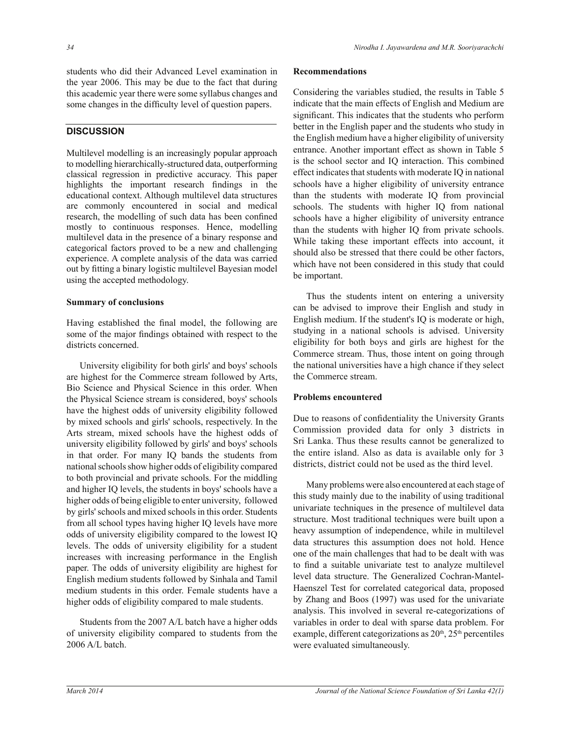students who did their Advanced Level examination in the year 2006. This may be due to the fact that during this academic year there were some syllabus changes and some changes in the difficulty level of question papers.

# **DISCUSSION**

Multilevel modelling is an increasingly popular approach to modelling hierarchically-structured data, outperforming classical regression in predictive accuracy. This paper highlights the important research findings in the educational context. Although multilevel data structures are commonly encountered in social and medical research, the modelling of such data has been confined mostly to continuous responses. Hence, modelling multilevel data in the presence of a binary response and categorical factors proved to be a new and challenging experience. A complete analysis of the data was carried out by fitting a binary logistic multilevel Bayesian model using the accepted methodology.

## **Summary of conclusions**

Having established the final model, the following are some of the major findings obtained with respect to the districts concerned.

 University eligibility for both girls' and boys' schools are highest for the Commerce stream followed by Arts, Bio Science and Physical Science in this order. When the Physical Science stream is considered, boys' schools have the highest odds of university eligibility followed by mixed schools and girls' schools, respectively. In the Arts stream, mixed schools have the highest odds of university eligibility followed by girls' and boys' schools in that order. For many IQ bands the students from national schools show higher odds of eligibility compared to both provincial and private schools. For the middling and higher IQ levels, the students in boys' schools have a higher odds of being eligible to enter university, followed by girls' schools and mixed schools in this order. Students from all school types having higher IQ levels have more odds of university eligibility compared to the lowest IQ levels. The odds of university eligibility for a student increases with increasing performance in the English paper. The odds of university eligibility are highest for English medium students followed by Sinhala and Tamil medium students in this order. Female students have a higher odds of eligibility compared to male students.

 Students from the 2007 A/L batch have a higher odds of university eligibility compared to students from the 2006 A/L batch.

### **Recommendations**

Considering the variables studied, the results in Table 5 indicate that the main effects of English and Medium are significant. This indicates that the students who perform better in the English paper and the students who study in the English medium have a higher eligibility of university entrance. Another important effect as shown in Table 5 is the school sector and IQ interaction. This combined effect indicates that students with moderate IQ in national schools have a higher eligibility of university entrance than the students with moderate IQ from provincial schools. The students with higher IQ from national schools have a higher eligibility of university entrance than the students with higher IQ from private schools. While taking these important effects into account, it should also be stressed that there could be other factors, which have not been considered in this study that could be important.

 Thus the students intent on entering a university can be advised to improve their English and study in English medium. If the student's IQ is moderate or high, studying in a national schools is advised. University eligibility for both boys and girls are highest for the Commerce stream. Thus, those intent on going through the national universities have a high chance if they select the Commerce stream.

# **Problems encountered**

Due to reasons of confidentiality the University Grants Commission provided data for only 3 districts in Sri Lanka. Thus these results cannot be generalized to the entire island. Also as data is available only for 3 districts, district could not be used as the third level.

 Many problems were also encountered at each stage of this study mainly due to the inability of using traditional univariate techniques in the presence of multilevel data structure. Most traditional techniques were built upon a heavy assumption of independence, while in multilevel data structures this assumption does not hold. Hence one of the main challenges that had to be dealt with was to find a suitable univariate test to analyze multilevel level data structure. The Generalized Cochran-Mantel-Haenszel Test for correlated categorical data, proposed by Zhang and Boos (1997) was used for the univariate analysis. This involved in several re-categorizations of variables in order to deal with sparse data problem. For example, different categorizations as  $20<sup>th</sup>$ ,  $25<sup>th</sup>$  percentiles were evaluated simultaneously.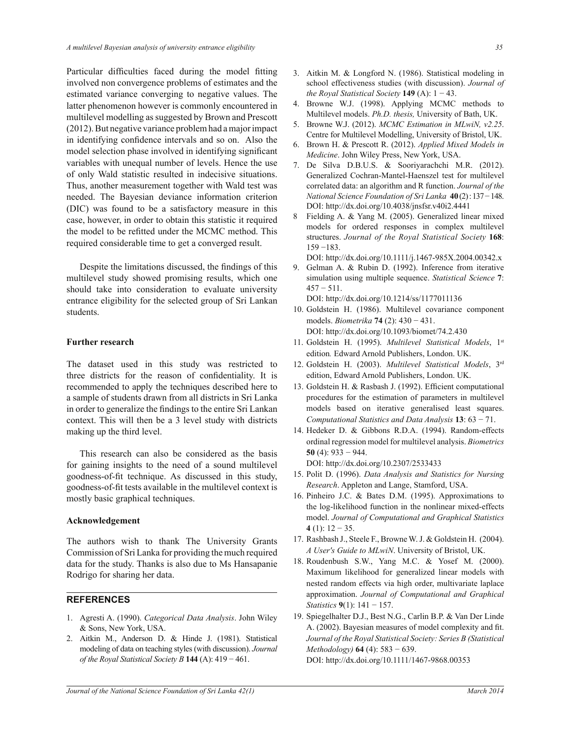Particular difficulties faced during the model fitting involved non convergence problems of estimates and the estimated variance converging to negative values. The latter phenomenon however is commonly encountered in multilevel modelling as suggested by Brown and Prescott (2012). But negative variance problem had a major impact in identifying confidence intervals and so on. Also the model selection phase involved in identifying significant variables with unequal number of levels. Hence the use of only Wald statistic resulted in indecisive situations. Thus, another measurement together with Wald test was needed. The Bayesian deviance information criterion (DIC) was found to be a satisfactory measure in this case, however, in order to obtain this statistic it required the model to be refitted under the MCMC method. This required considerable time to get a converged result.

 Despite the limitations discussed, the findings of this multilevel study showed promising results, which one should take into consideration to evaluate university entrance eligibility for the selected group of Sri Lankan students.

#### **Further research**

The dataset used in this study was restricted to three districts for the reason of confidentiality. It is recommended to apply the techniques described here to a sample of students drawn from all districts in Sri Lanka in order to generalize the findings to the entire Sri Lankan context. This will then be a 3 level study with districts making up the third level.

 This research can also be considered as the basis for gaining insights to the need of a sound multilevel goodness-of-fit technique. As discussed in this study, goodness-of-fit tests available in the multilevel context is mostly basic graphical techniques.

### **Acknowledgement**

The authors wish to thank The University Grants Commission of Sri Lanka for providing the much required data for the study. Thanks is also due to Ms Hansapanie Rodrigo for sharing her data.

## **REFERENCES**

- 1. Agresti A. (1990). *Categorical Data Analysis*. John Wiley & Sons, New York, USA.
- 2. Aitkin M., Anderson D. & Hinde J. (1981). Statistical modeling of data on teaching styles (with discussion). *Journal of the Royal Statistical Society B* **144** (A): 419 − 461.
- 3. Aitkin M. & Longford N. (1986). Statistical modeling in school effectiveness studies (with discussion). *Journal of the Royal Statistical Society* **149** (A): 1 − 43.
- 4. Browne W.J. (1998). Applying MCMC methods to Multilevel models. *Ph.D. thesis,* University of Bath, UK.
- 5. Browne W.J. (2012). *MCMC Estimation in MLwiN, v2.25*. Centre for Multilevel Modelling, University of Bristol, UK.
- 6. Brown H. & Prescott R. (2012). *Applied Mixed Models in Medicine*. John Wiley Press, New York, USA.
- 7. De Silva D.B.U.S. & Sooriyarachchi M.R. (2012). Generalized Cochran-Mantel-Haenszel test for multilevel correlated data: an algorithm and R function. *Journal of the National Science Foundation of Sri Lanka* **40** (2) : 137 − 148. DOI: http://dx.doi.org/10.4038/jnsfsr.v40i2.4441
- 8 Fielding A. & Yang M. (2005). Generalized linear mixed models for ordered responses in complex multilevel structures. *Journal of the Royal Statistical Society* **168**: 159 −183.

DOI: http://dx.doi.org/10.1111/j.1467-985X.2004.00342.x

9. Gelman A. & Rubin D. (1992). Inference from iterative simulation using multiple sequence. *Statistical Science* **7**:  $457 - 511$ .

DOI: http://dx.doi.org/10.1214/ss/1177011136

- 10. Goldstein H. (1986). Multilevel covariance component models. *Biometrika* **74** (2): 430 − 431. DOI: http://dx.doi.org/10.1093/biomet/74.2.430
- 11. Goldstein H. (1995). *Multilevel Statistical Models*, 1st edition*.* Edward Arnold Publishers, London. UK.
- 12. Goldstein H. (2003). *Multilevel Statistical Models*, 3rd edition, Edward Arnold Publishers, London. UK.
- 13. Goldstein H. & Rasbash J. (1992). Efficient computational procedures for the estimation of parameters in multilevel models based on iterative generalised least squares. *Computational Statistics and Data Analysis* **13**: 63 − 71.
- 14. Hedeker D. & Gibbons R.D.A. (1994). Random-effects ordinal regression model for multilevel analysis. *Biometrics*  **50** (4): 933 − 944.

DOI: http://dx.doi.org/10.2307/2533433

- 15. Polit D. (1996). *Data Analysis and Statistics for Nursing Research*. Appleton and Lange, Stamford, USA.
- 16. Pinheiro J.C. & Bates D.M. (1995). Approximations to the log-likelihood function in the nonlinear mixed-effects model. *Journal of Computational and Graphical Statistics*  **4** (1): 12 − 35.
- 17. Rashbash J., Steele F., Browne W. J. & Goldstein H. (2004). *A User's Guide to MLwiN*. University of Bristol, UK.
- 18. Roudenbush S.W., Yang M.C. & Yosef M. (2000). Maximum likelihood for generalized linear models with nested random effects via high order, multivariate laplace approximation. *Journal of Computational and Graphical Statistics* **9**(1): 141 − 157.
- 19. Spiegelhalter D.J., Best N.G., Carlin B.P. & Van Der Linde A. (2002). Bayesian measures of model complexity and fit. *Journal of the Royal Statistical Society: Series B (Statistical Methodology)* **64** (4): 583 − 639. DOI: http://dx.doi.org/10.1111/1467-9868.00353